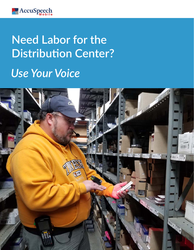

# **Need Labor for the Distribution Center?**

# *Use Your Voice*

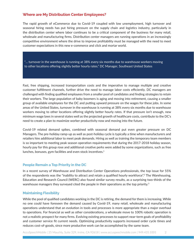# **Where are My Distribution Center Employees?**

The rapid growth of eCommerce due to Covid-19 coupled with low unemployment, high turnover and seasonal hiring needs has put hiring pressure on the supply chain and logistics industry, particularly in the distribution center where labor continues to be a critical component of the business for many retail, wholesale and manufacturing firms. Distribution center managers are running operations in an increasingly competitive environment where the drive to improve profitability must be managed with the need to meet customer expectations in this new e-commerce and click and mortar world.

 "... turnover in the warehouse is running at 38% every six months due to warehouse workers moving to other locations offering slightly better hourly rates." DC Manager, Southeast United States

Fast, free shipping, increased transportation costs and the imperative to manage multiple and creative customer fulfillment channels, further drive the need to manage labor costs efficiently. DC managers are challenged with finding qualified employees from a smaller pool of candidates and finding strategies to retain their workers. The large population of baby boomers is aging and moving into retirement, causing a smaller group of available employees for the DC and putting upward pressure on the wages for these jobs. In some areas of the United States, turnover in the warehouse is running at 38% every six months due to warehouse workers moving to other locations offering slightly better hourly rates. If that pressure isn't enough, new minimum wage laws in several states well as the projected growth of healthcare costs, contribute to the DC's need to create a plan to maximize worker productivity now and moving into the future.

Covid-19 related demand spikes, combined with seasonal demand put even greater pressure on DC Managers. The pre-holiday ramp-up as well as post-holiday cycle is typically a time when manufacturers and retailers hire additional labor to meet peak demands. Hiring as well as training the temporary team members is so important to meeting peak season operation requirements that during the 2017-2018 holiday season, hourly pay for this group rose and additional creative perks were added by some organizations, such as free lunches, bonuses, gym facilities and even stock incentives.<sup>1</sup>

## **People Remain a Top Priority in the DC**

In a recent survey of Warehouse and Distribution Center Operations professionals, the top issue for 55% of the respondents was the "inability to attract and retain a qualified hourly workforce".<sup>2</sup> The Warehousing, Education and Research Council (WERC) also found similar survey results, as a surprising two-thirds of the warehouse managers they surveyed cited the people in their operations as the top priority.<sup>3</sup>

#### **Maintaining Flexibility**

While the pool of qualified candidates working in the DC is retiring, the demand for them is increasing. While no one could have foreseen the demand caused by Covid-19, many retail, wholesale and manufacturing operations understand that an evolution in tools and processes is more appropriate than a major overhaul to operations. For financial as well as other considerations, a wholesale move to 100% robotic operation is not a realistic prospect for many firms. Evolving existing processes to support near-term goals of profitability and customer service fit current needs. Optimizing productivity supports increased order cycle times and reduces cost-of-goods, since more productive work can be accomplished by the same team.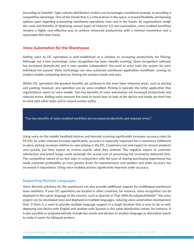According to Deloitte<sup>4</sup>, high-velocity distribution centers are increasingly considered strategic to providing a competitive advantage. One of the trends that is a critical driver in the space, is toward flexibility and keeping options open regarding automating warehouse operations now, and in the future. As organizations weigh the costs and benefits of deploying various types of Industry 4.0 and automation, voice enabled workflow remains a highly cost-effective way to achieve enhanced productivity with a minimal investment and a reasonable ROI time frame.

# **Voice Automation for the Warehouse**

Adding voice to DC operations is well-established as a solution to increasing productivity for Picking. Although not a new technology, voice recognition has been steadily evolving. Voice recognition software has increased dramatically and is now speaker independent; the need to voice train the system for each individual has passed. Voice technology can now automate warehouse application workflows running on modern mobile computing devices, freeing the workers hands and eyes.

Within DC operations the greatest benefits are achieved in the most labor-intensive areas, such as picking and packing, however, any operation can be voice enabled. Picking is typically the initial application that organizations select to voice enable. Two key benefits of voice automation are increased productivity and reduced errors. Adding voice removes the need to touch keys or look at the device and hands are then free to work with other tasks and to ensure worker safety.

"Two key benefits of voice-enabled workflow are increased productivity and reduced errors."

Using voice on the mobile handheld devices and barcode scanning significantly increases accuracy rates (to 99.9%). As order volumes increase significantly, accuracy is especially important for e-commerce fulfillment as piece picking increases relative to case picking in the DC. Customers not only expect to receive products very quickly, but they expect to receive exactly what they ordered. The negative impact to customer satisfaction and brand image could outweigh the actual cost of processing the incorrectly delivered item. The competitive nature of on-line sales in conjunction with the ease of sharing purchasing experiences has made customer profitability an even greater driver for manufacturers and retailers and order accuracy has increased in importance. Using voice enabled process significantly improves order accuracy.

## **Supporting Multiple Languages**

Voice directed solutions for the warehouse can also provide additional support for multilingual warehouse team members. If your DC operations are located in other countries, for instance, voice recognition can be deployed in the native language of the country, such as Spanish or Thai. With AccuSpeechMobile™ the voice project can be developed once and deployed in multiple languages, reducing voice automation development time. If there is a need to provide multiple language support in a single location that is easy to do as well, deploying one device with English and another with Spanish in the same distribution center, for instance. It is also possible to programmatically include key words and phrases in another language as alternative inputs to make it easier for bilingual workers.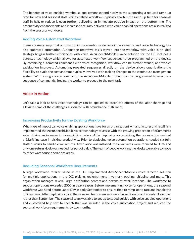The benefits of voice enabled warehouse applications extend nicely to the supporting a reduced ramp-up time for new and seasonal staff. Voice enabled workflows typically shorten the ramp-up time for seasonal staff in half, or reduce it even further, delivering an immediate positive impact on the bottom line. The productivity enhancements and increased accuracy delivered with voice enabled operations are also realized from the seasonal workforce.

#### **Adding Voice Automated Workflow**

There are many ways that automation in the warehouse delivers improvements, and voice technology has also embraced automation. Automating repetitive tasks woven into the workflow with voice is an ideal strategy to gain further efficiencies with voice. AccuSpeechMobile's voice solution for the DC includes a patented technology which allows for automated workflow sequences to be programmed on the device. By combining automated commands with voice recognition, workflow can be further refined, and worker satisfaction improved. Automating repeated sequences directly on the device allows organizations the flexibility to avoid the cost and time typically involved with making changes to the warehouse management system. With a single voice command, the AccuSpeechMobile product can be programmed to execute a sequence of commands, freeing the worker to proceed to the next task.

# **Voice in Action**

Let's take a look at how voice technology can be applied to lessen the effects of the labor shortage and alleviate some of the challenges associated with omnichannel fulfillment.

#### **Increasing Productivity for the Existing Workforce**

What type of impact can voice enabling applications have for an organization? A manufacturer and retail firm implemented the AccuSpeechMobile voice technology to assist with the growing proportion of eCommerce sales driving an increase in loose picking orders. After deploying voice picking the organization realized a 22.6% increase in picking productivity. Prior to deploying voice automation operations needed six fully staffed kiosks to handle error returns. After voice was installed, the error rates were reduced to 0.5% and only one return kiosk was needed for part of a day. The team of people working the kiosks were able to move to other warehouse operations areas.

#### **Reducing Seasonal Workforce Requirements**

A large worldwide retailer based in the U.S. implemented AccuSpeechMobile's voice directed solution for multiple applications in the DC, picking, replenishment, inventory, packing, shipping and more. This organization manages several large distribution centers and dozens of retail locations. The workforce to support operations exceeded 2500 in peak season. Before implementing voice for operations, the seasonal workforce was hired before Labor Day in early September to ensure time to ramp-up to rate and handle the holiday peak. After deploying voice, the seasonal team members were brought on board in early November rather than September. The seasonal team was able to get up to speed quickly with voice enabled operations and customized help text-to-speech that was included in the voice automation project and reduced the seasonal workforce requirements by two months.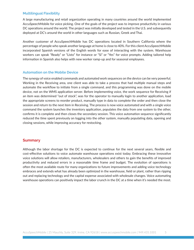#### **Multilingual Flexibility**

A large manufacturing and retail organization operating in many countries around the world implemented AccuSpeechMobile for voice picking. One of the goals of the project was to improve productivity in various DC operations around the world. The project was initially developed and tested in the U.S. and subsequently deployed at DC's around the world in other languages such as Russian, Greek and Thai.

Another customer of AccuSpeechMobile has DC operations located in Southern California where the percentage of people who speak another language at home is close to 40%. For this client AccuSpeechMobile incorporated Spanish versions of the English words for ease of interacting with the system. Warehouse workers can speak "Ready" or "Listo" for instance or "Si" or "Yes" for voice prompts. Adding tailored help information in Spanish also helps with new worker ramp-up and for seasonal employees.

#### **Automation on the Mobile Device**

The synergy of voice enabled commands and automated work sequences on the device can be very powerful. Working in the Receiving area, one client was able to take a process that had multiple manual steps and automate the workflow to initiate from a single command, and this programming was done on the mobile device, not on the WMS application server. Before implementing voice, the work sequence for Receiving if an item was determined "out of stock", was for the operator to manually login to another application, load the appropriate screens to reorder product, manually type in data to complete the order and then close the session and return to the next item in Receiving. The process is now voice automated and with a single voice command the system launches the inventory application, populates the data from one system to the other, confirms it is complete and then closes the secondary session. This voice automation sequence significantly reduced the time spent previously on logging into the other system, manually populating data, opening and closing sessions, while improving accuracy for restocking.

## **Summary**

Although the labor shortage for the DC is expected to continue for the next several years, flexible and cost-effective solutions to voice automate warehouse operations exist today. Embracing these innovative voice solutions will allow retailers, manufacturers, wholesalers and others to gain the benefits of improved productivity and reduced errors in a reasonable time frame and budget. The evolution of operations is often the most available route for many organizations to future improvements and adding voice technology embraces and extends what has already been optimized in the warehouse, field or plant, rather than ripping out and replacing technology and the capital expense associated with wholesale changes. Voice automating warehouse operations can positively impact the labor crunch in the DC at a time when it's needed the most.